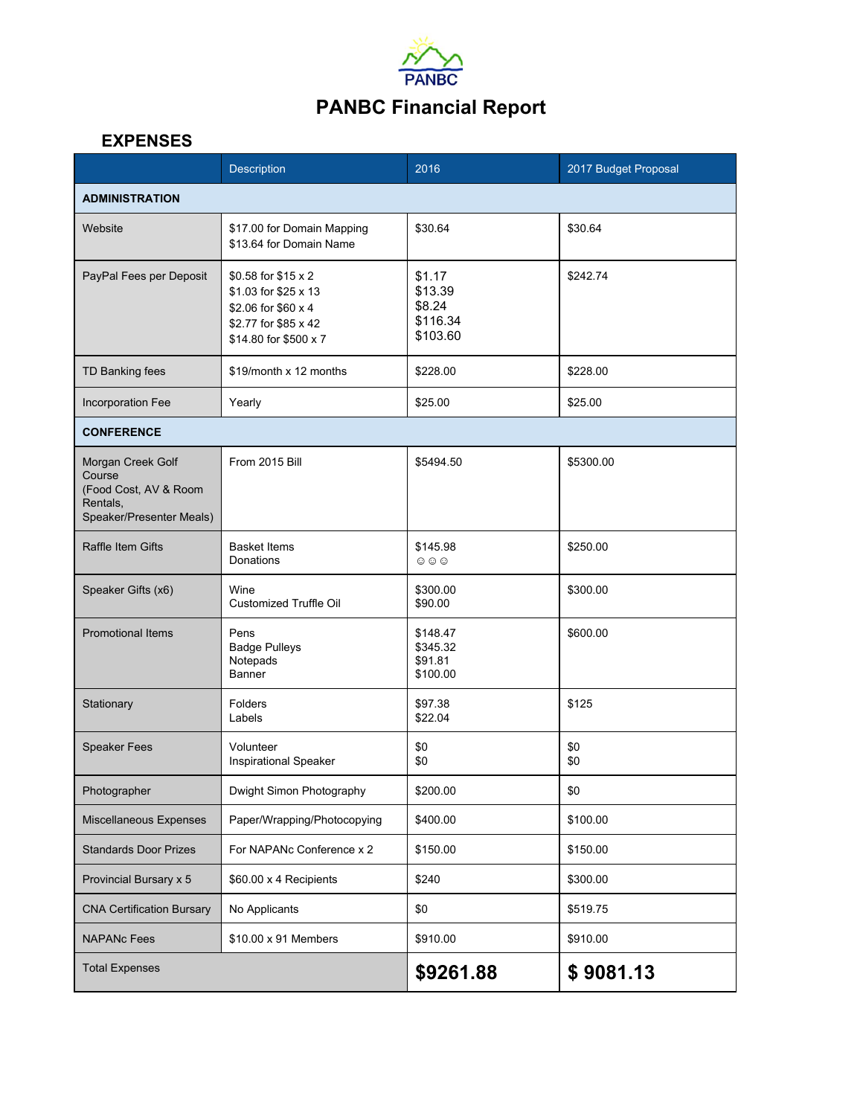

# **PANBC Financial Report**

### **EXPENSES**

|                                                                                              | <b>Description</b>                                                                                                  | 2016                                                | 2017 Budget Proposal |
|----------------------------------------------------------------------------------------------|---------------------------------------------------------------------------------------------------------------------|-----------------------------------------------------|----------------------|
| <b>ADMINISTRATION</b>                                                                        |                                                                                                                     |                                                     |                      |
| Website                                                                                      | \$17.00 for Domain Mapping<br>\$13.64 for Domain Name                                                               | \$30.64                                             | \$30.64              |
| PayPal Fees per Deposit                                                                      | \$0.58 for \$15 x 2<br>\$1.03 for \$25 x 13<br>\$2.06 for \$60 x 4<br>\$2.77 for \$85 x 42<br>\$14.80 for \$500 x 7 | \$1.17<br>\$13.39<br>\$8.24<br>\$116.34<br>\$103.60 | \$242.74             |
| TD Banking fees                                                                              | \$19/month x 12 months                                                                                              | \$228.00                                            | \$228.00             |
| Incorporation Fee                                                                            | Yearly                                                                                                              | \$25.00                                             | \$25.00              |
| <b>CONFERENCE</b>                                                                            |                                                                                                                     |                                                     |                      |
| Morgan Creek Golf<br>Course<br>(Food Cost, AV & Room<br>Rentals,<br>Speaker/Presenter Meals) | From 2015 Bill                                                                                                      | \$5494.50                                           | \$5300.00            |
| Raffle Item Gifts                                                                            | <b>Basket Items</b><br>Donations                                                                                    | \$145.98<br>$\odot$ $\odot$ $\odot$                 | \$250.00             |
| Speaker Gifts (x6)                                                                           | Wine<br><b>Customized Truffle Oil</b>                                                                               | \$300.00<br>\$90.00                                 | \$300.00             |
| <b>Promotional Items</b>                                                                     | Pens<br><b>Badge Pulleys</b><br>Notepads<br>Banner                                                                  | \$148.47<br>\$345.32<br>\$91.81<br>\$100.00         | \$600.00             |
| Stationary                                                                                   | Folders<br>Labels                                                                                                   | \$97.38<br>\$22.04                                  | \$125                |
| <b>Speaker Fees</b>                                                                          | Volunteer<br>Inspirational Speaker                                                                                  | \$0<br>\$0                                          | \$0<br>\$0           |
| Photographer                                                                                 | Dwight Simon Photography                                                                                            | \$200.00                                            | \$0                  |
| Miscellaneous Expenses                                                                       | Paper/Wrapping/Photocopying                                                                                         | \$400.00                                            | \$100.00             |
| <b>Standards Door Prizes</b>                                                                 | For NAPANc Conference x 2                                                                                           | \$150.00                                            | \$150.00             |
| Provincial Bursary x 5                                                                       | \$60.00 x 4 Recipients                                                                                              | \$240                                               | \$300.00             |
| <b>CNA Certification Bursary</b>                                                             | No Applicants                                                                                                       | \$0                                                 | \$519.75             |
| <b>NAPANc Fees</b>                                                                           | \$10.00 x 91 Members                                                                                                | \$910.00                                            | \$910.00             |
| <b>Total Expenses</b>                                                                        |                                                                                                                     | \$9261.88                                           | \$9081.13            |